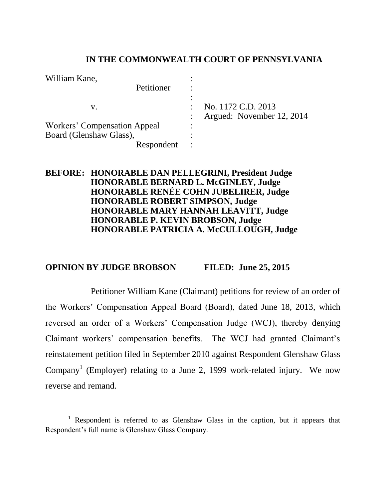### **IN THE COMMONWEALTH COURT OF PENNSYLVANIA**

| William Kane,                |           |                                                 |
|------------------------------|-----------|-------------------------------------------------|
| Petitioner                   |           |                                                 |
| V.                           |           | No. 1172 C.D. 2013<br>Argued: November 12, 2014 |
| Workers' Compensation Appeal | ٠         |                                                 |
| Board (Glenshaw Glass),      |           |                                                 |
| Respondent                   | $\bullet$ |                                                 |

## **BEFORE: HONORABLE DAN PELLEGRINI, President Judge HONORABLE BERNARD L. McGINLEY, Judge HONORABLE RENÉE COHN JUBELIRER, Judge HONORABLE ROBERT SIMPSON, Judge HONORABLE MARY HANNAH LEAVITT, Judge HONORABLE P. KEVIN BROBSON, Judge HONORABLE PATRICIA A. McCULLOUGH, Judge**

### **OPINION BY JUDGE BROBSON FILED: June 25, 2015**

Petitioner William Kane (Claimant) petitions for review of an order of the Workers' Compensation Appeal Board (Board), dated June 18, 2013, which reversed an order of a Workers' Compensation Judge (WCJ), thereby denying Claimant workers' compensation benefits. The WCJ had granted Claimant's reinstatement petition filed in September 2010 against Respondent Glenshaw Glass Company<sup>1</sup> (Employer) relating to a June 2, 1999 work-related injury. We now reverse and remand.

<sup>&</sup>lt;sup>1</sup> Respondent is referred to as Glenshaw Glass in the caption, but it appears that Respondent's full name is Glenshaw Glass Company.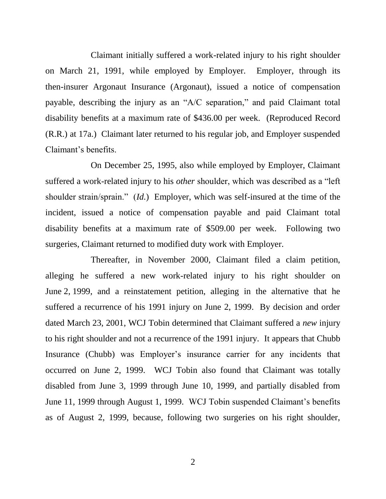Claimant initially suffered a work-related injury to his right shoulder on March 21, 1991, while employed by Employer. Employer, through its then-insurer Argonaut Insurance (Argonaut), issued a notice of compensation payable, describing the injury as an "A/C separation," and paid Claimant total disability benefits at a maximum rate of \$436.00 per week. (Reproduced Record (R.R.) at 17a.) Claimant later returned to his regular job, and Employer suspended Claimant's benefits.

On December 25, 1995, also while employed by Employer, Claimant suffered a work-related injury to his *other* shoulder, which was described as a "left shoulder strain/sprain." (*Id.*) Employer, which was self-insured at the time of the incident, issued a notice of compensation payable and paid Claimant total disability benefits at a maximum rate of \$509.00 per week. Following two surgeries, Claimant returned to modified duty work with Employer.

Thereafter, in November 2000, Claimant filed a claim petition, alleging he suffered a new work-related injury to his right shoulder on June 2, 1999, and a reinstatement petition, alleging in the alternative that he suffered a recurrence of his 1991 injury on June 2, 1999. By decision and order dated March 23, 2001, WCJ Tobin determined that Claimant suffered a *new* injury to his right shoulder and not a recurrence of the 1991 injury. It appears that Chubb Insurance (Chubb) was Employer's insurance carrier for any incidents that occurred on June 2, 1999. WCJ Tobin also found that Claimant was totally disabled from June 3, 1999 through June 10, 1999, and partially disabled from June 11, 1999 through August 1, 1999. WCJ Tobin suspended Claimant's benefits as of August 2, 1999, because, following two surgeries on his right shoulder,

2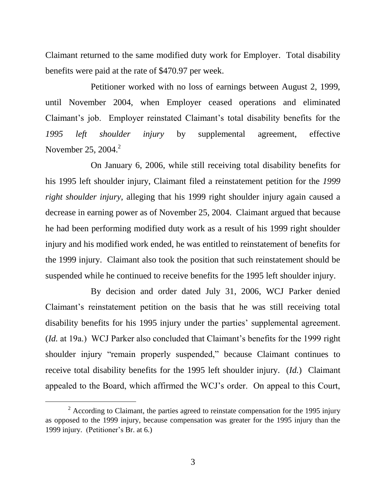Claimant returned to the same modified duty work for Employer. Total disability benefits were paid at the rate of \$470.97 per week.

Petitioner worked with no loss of earnings between August 2, 1999, until November 2004, when Employer ceased operations and eliminated Claimant's job. Employer reinstated Claimant's total disability benefits for the *1995 left shoulder injury* by supplemental agreement, effective November 25, 2004. $^2$ 

On January 6, 2006, while still receiving total disability benefits for his 1995 left shoulder injury, Claimant filed a reinstatement petition for the *1999 right shoulder injury*, alleging that his 1999 right shoulder injury again caused a decrease in earning power as of November 25, 2004. Claimant argued that because he had been performing modified duty work as a result of his 1999 right shoulder injury and his modified work ended, he was entitled to reinstatement of benefits for the 1999 injury. Claimant also took the position that such reinstatement should be suspended while he continued to receive benefits for the 1995 left shoulder injury.

By decision and order dated July 31, 2006, WCJ Parker denied Claimant's reinstatement petition on the basis that he was still receiving total disability benefits for his 1995 injury under the parties' supplemental agreement. (*Id.* at 19a.) WCJ Parker also concluded that Claimant's benefits for the 1999 right shoulder injury "remain properly suspended," because Claimant continues to receive total disability benefits for the 1995 left shoulder injury. (*Id.*) Claimant appealed to the Board, which affirmed the WCJ's order. On appeal to this Court,

 $2$  According to Claimant, the parties agreed to reinstate compensation for the 1995 injury as opposed to the 1999 injury, because compensation was greater for the 1995 injury than the 1999 injury. (Petitioner's Br. at 6.)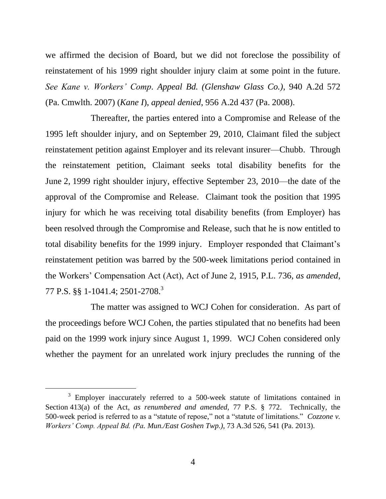we affirmed the decision of Board, but we did not foreclose the possibility of reinstatement of his 1999 right shoulder injury claim at some point in the future. *See Kane v. Workers' Comp. Appeal Bd. (Glenshaw Glass Co.)*, 940 A.2d 572 (Pa. Cmwlth. 2007) (*Kane I*), *appeal denied*, 956 A.2d 437 (Pa. 2008).

Thereafter, the parties entered into a Compromise and Release of the 1995 left shoulder injury, and on September 29, 2010, Claimant filed the subject reinstatement petition against Employer and its relevant insurer—Chubb. Through the reinstatement petition, Claimant seeks total disability benefits for the June 2, 1999 right shoulder injury, effective September 23, 2010—the date of the approval of the Compromise and Release. Claimant took the position that 1995 injury for which he was receiving total disability benefits (from Employer) has been resolved through the Compromise and Release, such that he is now entitled to total disability benefits for the 1999 injury. Employer responded that Claimant's reinstatement petition was barred by the 500-week limitations period contained in the Workers' Compensation Act (Act), Act of June 2, 1915, P.L. 736, *as amended*, 77 P.S. §§ 1-1041.4; 2501-2708.<sup>3</sup>

The matter was assigned to WCJ Cohen for consideration. As part of the proceedings before WCJ Cohen, the parties stipulated that no benefits had been paid on the 1999 work injury since August 1, 1999. WCJ Cohen considered only whether the payment for an unrelated work injury precludes the running of the

<sup>&</sup>lt;sup>3</sup> Employer inaccurately referred to a 500-week statute of limitations contained in Section 413(a) of the Act, *as renumbered and amended*, 77 P.S. § 772. Technically, the 500-week period is referred to as a "statute of repose," not a "statute of limitations." *Cozzone v. Workers' Comp. Appeal Bd. (Pa. Mun./East Goshen Twp.)*, 73 A.3d 526, 541 (Pa. 2013).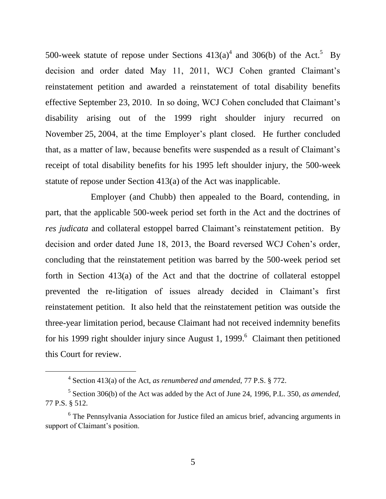500-week statute of repose under Sections  $413(a)^4$  and 306(b) of the Act.<sup>5</sup> By decision and order dated May 11, 2011, WCJ Cohen granted Claimant's reinstatement petition and awarded a reinstatement of total disability benefits effective September 23, 2010. In so doing, WCJ Cohen concluded that Claimant's disability arising out of the 1999 right shoulder injury recurred on November 25, 2004, at the time Employer's plant closed. He further concluded that, as a matter of law, because benefits were suspended as a result of Claimant's receipt of total disability benefits for his 1995 left shoulder injury, the 500-week statute of repose under Section 413(a) of the Act was inapplicable.

Employer (and Chubb) then appealed to the Board, contending, in part, that the applicable 500-week period set forth in the Act and the doctrines of *res judicata* and collateral estoppel barred Claimant's reinstatement petition. By decision and order dated June 18, 2013, the Board reversed WCJ Cohen's order, concluding that the reinstatement petition was barred by the 500-week period set forth in Section 413(a) of the Act and that the doctrine of collateral estoppel prevented the re-litigation of issues already decided in Claimant's first reinstatement petition. It also held that the reinstatement petition was outside the three-year limitation period, because Claimant had not received indemnity benefits for his 1999 right shoulder injury since August 1, 1999.<sup>6</sup> Claimant then petitioned this Court for review.

<sup>4</sup> Section 413(a) of the Act, *as renumbered and amended*, 77 P.S. § 772.

<sup>5</sup> Section 306(b) of the Act was added by the Act of June 24, 1996, P.L. 350, *as amended*, 77 P.S. § 512.

<sup>&</sup>lt;sup>6</sup> The Pennsylvania Association for Justice filed an amicus brief, advancing arguments in support of Claimant's position.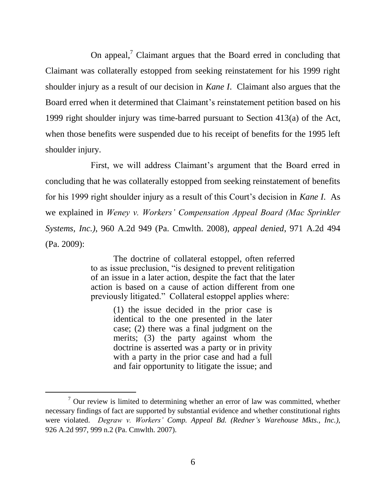On appeal, $\frac{7}{7}$  Claimant argues that the Board erred in concluding that Claimant was collaterally estopped from seeking reinstatement for his 1999 right shoulder injury as a result of our decision in *Kane I*. Claimant also argues that the Board erred when it determined that Claimant's reinstatement petition based on his 1999 right shoulder injury was time-barred pursuant to Section 413(a) of the Act, when those benefits were suspended due to his receipt of benefits for the 1995 left shoulder injury.

First, we will address Claimant's argument that the Board erred in concluding that he was collaterally estopped from seeking reinstatement of benefits for his 1999 right shoulder injury as a result of this Court's decision in *Kane I*. As we explained in *Weney v. Workers' Compensation Appeal Board (Mac Sprinkler Systems, Inc.)*, 960 A.2d 949 (Pa. Cmwlth. 2008), *appeal denied*, 971 A.2d 494 (Pa. 2009):

> The doctrine of collateral estoppel, often referred to as issue preclusion, "is designed to prevent relitigation of an issue in a later action, despite the fact that the later action is based on a cause of action different from one previously litigated." Collateral estoppel applies where:

> > (1) the issue decided in the prior case is identical to the one presented in the later case; (2) there was a final judgment on the merits; (3) the party against whom the doctrine is asserted was a party or in privity with a party in the prior case and had a full and fair opportunity to litigate the issue; and

 $7$  Our review is limited to determining whether an error of law was committed, whether necessary findings of fact are supported by substantial evidence and whether constitutional rights were violated. *Degraw v. Workers' Comp. Appeal Bd. (Redner's Warehouse Mkts., Inc.)*, 926 A.2d 997, 999 n.2 (Pa. Cmwlth. 2007).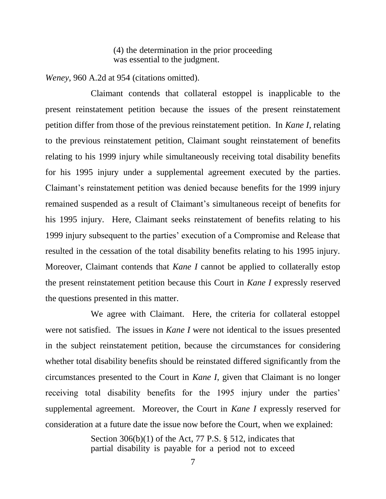(4) the determination in the prior proceeding was essential to the judgment.

*Weney*, 960 A.2d at 954 (citations omitted).

Claimant contends that collateral estoppel is inapplicable to the present reinstatement petition because the issues of the present reinstatement petition differ from those of the previous reinstatement petition. In *Kane I*, relating to the previous reinstatement petition, Claimant sought reinstatement of benefits relating to his 1999 injury while simultaneously receiving total disability benefits for his 1995 injury under a supplemental agreement executed by the parties. Claimant's reinstatement petition was denied because benefits for the 1999 injury remained suspended as a result of Claimant's simultaneous receipt of benefits for his 1995 injury. Here, Claimant seeks reinstatement of benefits relating to his 1999 injury subsequent to the parties' execution of a Compromise and Release that resulted in the cessation of the total disability benefits relating to his 1995 injury. Moreover, Claimant contends that *Kane I* cannot be applied to collaterally estop the present reinstatement petition because this Court in *Kane I* expressly reserved the questions presented in this matter.

We agree with Claimant. Here, the criteria for collateral estoppel were not satisfied. The issues in *Kane I* were not identical to the issues presented in the subject reinstatement petition, because the circumstances for considering whether total disability benefits should be reinstated differed significantly from the circumstances presented to the Court in *Kane I*, given that Claimant is no longer receiving total disability benefits for the 1995 injury under the parties' supplemental agreement. Moreover, the Court in *Kane I* expressly reserved for consideration at a future date the issue now before the Court, when we explained:

> Section  $306(b)(1)$  of the Act, 77 P.S. § 512, indicates that partial disability is payable for a period not to exceed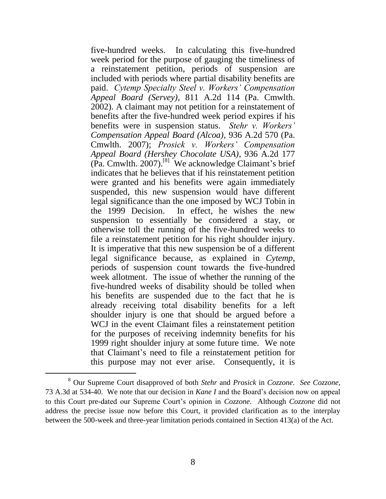five-hundred weeks. In calculating this five-hundred week period for the purpose of gauging the timeliness of a reinstatement petition, periods of suspension are included with periods where partial disability benefits are paid. *Cytemp Specialty Steel v. Workers' Compensation Appeal Board (Servey)*, 811 A.2d 114 (Pa. Cmwlth. 2002). A claimant may not petition for a reinstatement of benefits after the five-hundred week period expires if his benefits were in suspension status. *Stehr v. Workers' Compensation Appeal Board (Alcoa)*, 936 A.2d 570 (Pa. Cmwlth. 2007); *Prosick v. Workers' Compensation Appeal Board (Hershey Chocolate USA)*, 936 A.2d 177  $(\text{Pa.} \text{Cm}$  Cmwlth. 2007).<sup>[8]</sup> We acknowledge Claimant's brief indicates that he believes that if his reinstatement petition were granted and his benefits were again immediately suspended, this new suspension would have different legal significance than the one imposed by WCJ Tobin in the 1999 Decision. In effect, he wishes the new suspension to essentially be considered a stay, or otherwise toll the running of the five-hundred weeks to file a reinstatement petition for his right shoulder injury. It is imperative that this new suspension be of a different legal significance because, as explained in *Cytemp*, periods of suspension count towards the five-hundred week allotment. The issue of whether the running of the five-hundred weeks of disability should be tolled when his benefits are suspended due to the fact that he is already receiving total disability benefits for a left shoulder injury is one that should be argued before a WCJ in the event Claimant files a reinstatement petition for the purposes of receiving indemnity benefits for his 1999 right shoulder injury at some future time. We note that Claimant's need to file a reinstatement petition for this purpose may not ever arise. Consequently, it is

<sup>8</sup> Our Supreme Court disapproved of both *Stehr* and *Prosick* in *Cozzone*. *See Cozzone*, 73 A.3d at 534-40. We note that our decision in *Kane I* and the Board's decision now on appeal to this Court pre-dated our Supreme Court's opinion in *Cozzone*. Although *Cozzone* did not address the precise issue now before this Court, it provided clarification as to the interplay between the 500-week and three-year limitation periods contained in Section 413(a) of the Act.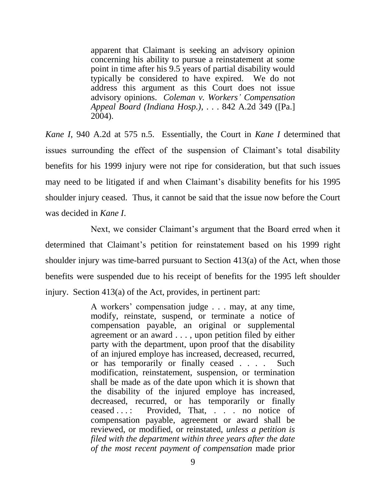apparent that Claimant is seeking an advisory opinion concerning his ability to pursue a reinstatement at some point in time after his 9.5 years of partial disability would typically be considered to have expired. We do not address this argument as this Court does not issue advisory opinions. *Coleman v. Workers' Compensation Appeal Board (Indiana Hosp.)*, . . . 842 A.2d 349 ([Pa.] 2004).

*Kane I*, 940 A.2d at 575 n.5. Essentially, the Court in *Kane I* determined that issues surrounding the effect of the suspension of Claimant's total disability benefits for his 1999 injury were not ripe for consideration, but that such issues may need to be litigated if and when Claimant's disability benefits for his 1995 shoulder injury ceased. Thus, it cannot be said that the issue now before the Court was decided in *Kane I*.

Next, we consider Claimant's argument that the Board erred when it determined that Claimant's petition for reinstatement based on his 1999 right shoulder injury was time-barred pursuant to Section 413(a) of the Act, when those benefits were suspended due to his receipt of benefits for the 1995 left shoulder injury. Section 413(a) of the Act, provides, in pertinent part:

> A workers' compensation judge . . . may, at any time, modify, reinstate, suspend, or terminate a notice of compensation payable, an original or supplemental agreement or an award . . . , upon petition filed by either party with the department, upon proof that the disability of an injured employe has increased, decreased, recurred, or has temporarily or finally ceased . . . . Such modification, reinstatement, suspension, or termination shall be made as of the date upon which it is shown that the disability of the injured employe has increased, decreased, recurred, or has temporarily or finally ceased . . . : Provided, That, . . . no notice of compensation payable, agreement or award shall be reviewed, or modified, or reinstated, *unless a petition is filed with the department within three years after the date of the most recent payment of compensation* made prior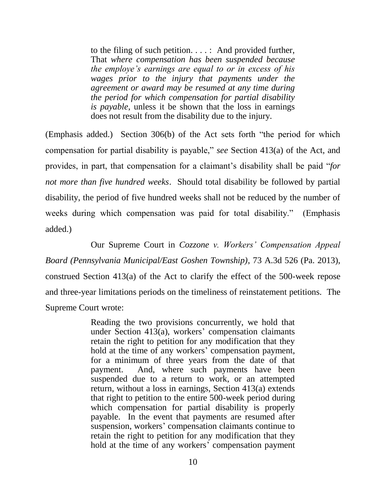to the filing of such petition. . . . : And provided further, That *where compensation has been suspended because the employe's earnings are equal to or in excess of his wages prior to the injury that payments under the agreement or award may be resumed at any time during the period for which compensation for partial disability is payable*, unless it be shown that the loss in earnings does not result from the disability due to the injury.

(Emphasis added.) Section 306(b) of the Act sets forth "the period for which compensation for partial disability is payable," *see* Section 413(a) of the Act, and provides, in part, that compensation for a claimant's disability shall be paid "*for not more than five hundred weeks*. Should total disability be followed by partial disability, the period of five hundred weeks shall not be reduced by the number of weeks during which compensation was paid for total disability." (Emphasis added.)

Our Supreme Court in *Cozzone v. Workers' Compensation Appeal Board (Pennsylvania Municipal/East Goshen Township)*, 73 A.3d 526 (Pa. 2013), construed Section 413(a) of the Act to clarify the effect of the 500-week repose and three-year limitations periods on the timeliness of reinstatement petitions. The Supreme Court wrote:

> Reading the two provisions concurrently, we hold that under Section 413(a), workers' compensation claimants retain the right to petition for any modification that they hold at the time of any workers' compensation payment, for a minimum of three years from the date of that payment. And, where such payments have been suspended due to a return to work, or an attempted return, without a loss in earnings, Section 413(a) extends that right to petition to the entire 500-week period during which compensation for partial disability is properly payable. In the event that payments are resumed after suspension, workers' compensation claimants continue to retain the right to petition for any modification that they hold at the time of any workers' compensation payment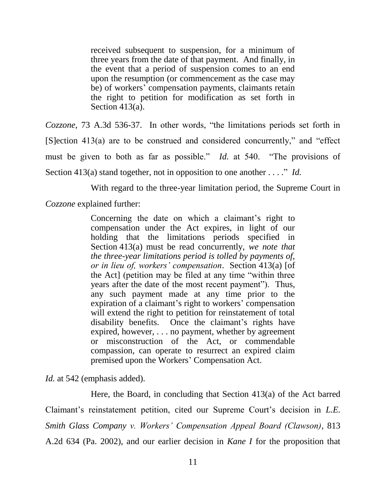received subsequent to suspension, for a minimum of three years from the date of that payment. And finally, in the event that a period of suspension comes to an end upon the resumption (or commencement as the case may be) of workers' compensation payments, claimants retain the right to petition for modification as set forth in Section 413(a).

*Cozzone*, 73 A.3d 536-37. In other words, "the limitations periods set forth in [S]ection 413(a) are to be construed and considered concurrently," and "effect must be given to both as far as possible." *Id.* at 540. "The provisions of Section 413(a) stand together, not in opposition to one another . . . ." *Id.*

With regard to the three-year limitation period, the Supreme Court in

*Cozzone* explained further:

Concerning the date on which a claimant's right to compensation under the Act expires, in light of our holding that the limitations periods specified in Section 413(a) must be read concurrently, *we note that the three-year limitations period is tolled by payments of, or in lieu of, workers' compensation*. Section 413(a) [of the Act] (petition may be filed at any time "within three years after the date of the most recent payment"). Thus, any such payment made at any time prior to the expiration of a claimant's right to workers' compensation will extend the right to petition for reinstatement of total disability benefits. Once the claimant's rights have expired, however, . . . no payment, whether by agreement or misconstruction of the Act, or commendable compassion, can operate to resurrect an expired claim premised upon the Workers' Compensation Act.

*Id.* at 542 (emphasis added).

Here, the Board, in concluding that Section 413(a) of the Act barred Claimant's reinstatement petition, cited our Supreme Court's decision in *L.E. Smith Glass Company v. Workers' Compensation Appeal Board (Clawson)*, 813 A.2d 634 (Pa. 2002), and our earlier decision in *Kane I* for the proposition that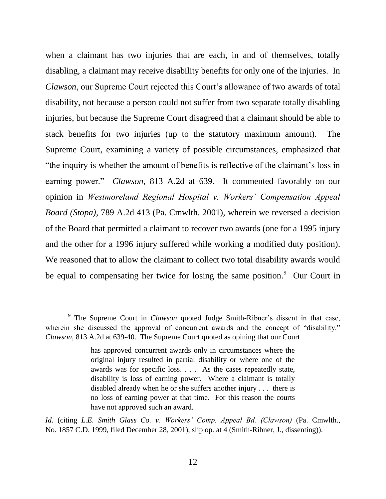when a claimant has two injuries that are each, in and of themselves, totally disabling, a claimant may receive disability benefits for only one of the injuries. In *Clawson*, our Supreme Court rejected this Court's allowance of two awards of total disability, not because a person could not suffer from two separate totally disabling injuries, but because the Supreme Court disagreed that a claimant should be able to stack benefits for two injuries (up to the statutory maximum amount). The Supreme Court, examining a variety of possible circumstances, emphasized that "the inquiry is whether the amount of benefits is reflective of the claimant's loss in earning power." *Clawson*, 813 A.2d at 639. It commented favorably on our opinion in *Westmoreland Regional Hospital v. Workers' Compensation Appeal Board (Stopa)*, 789 A.2d 413 (Pa. Cmwlth. 2001), wherein we reversed a decision of the Board that permitted a claimant to recover two awards (one for a 1995 injury and the other for a 1996 injury suffered while working a modified duty position). We reasoned that to allow the claimant to collect two total disability awards would be equal to compensating her twice for losing the same position.<sup>9</sup> Our Court in

<sup>&</sup>lt;sup>9</sup> The Supreme Court in *Clawson* quoted Judge Smith-Ribner's dissent in that case, wherein she discussed the approval of concurrent awards and the concept of "disability." *Clawson*, 813 A.2d at 639-40. The Supreme Court quoted as opining that our Court

has approved concurrent awards only in circumstances where the original injury resulted in partial disability or where one of the awards was for specific loss. . . . As the cases repeatedly state, disability is loss of earning power. Where a claimant is totally disabled already when he or she suffers another injury . . . there is no loss of earning power at that time. For this reason the courts have not approved such an award.

*Id.* (citing *L.E. Smith Glass Co. v. Workers' Comp. Appeal Bd. (Clawson)* (Pa. Cmwlth., No. 1857 C.D. 1999, filed December 28, 2001), slip op. at 4 (Smith-Ribner, J., dissenting)).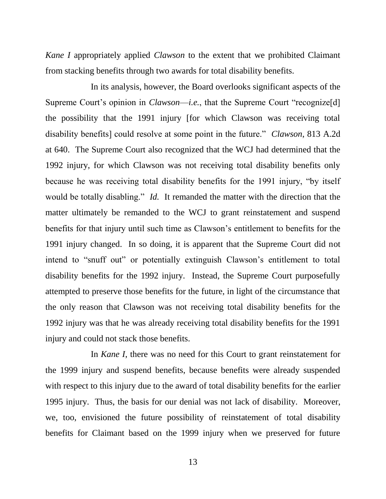*Kane I* appropriately applied *Clawson* to the extent that we prohibited Claimant from stacking benefits through two awards for total disability benefits.

In its analysis, however, the Board overlooks significant aspects of the Supreme Court's opinion in *Clawson—i.e.*, that the Supreme Court "recognize[d] the possibility that the 1991 injury [for which Clawson was receiving total disability benefits] could resolve at some point in the future." *Clawson*, 813 A.2d at 640. The Supreme Court also recognized that the WCJ had determined that the 1992 injury, for which Clawson was not receiving total disability benefits only because he was receiving total disability benefits for the 1991 injury, "by itself would be totally disabling." *Id.* It remanded the matter with the direction that the matter ultimately be remanded to the WCJ to grant reinstatement and suspend benefits for that injury until such time as Clawson's entitlement to benefits for the 1991 injury changed. In so doing, it is apparent that the Supreme Court did not intend to "snuff out" or potentially extinguish Clawson's entitlement to total disability benefits for the 1992 injury. Instead, the Supreme Court purposefully attempted to preserve those benefits for the future, in light of the circumstance that the only reason that Clawson was not receiving total disability benefits for the 1992 injury was that he was already receiving total disability benefits for the 1991 injury and could not stack those benefits.

In *Kane I*, there was no need for this Court to grant reinstatement for the 1999 injury and suspend benefits, because benefits were already suspended with respect to this injury due to the award of total disability benefits for the earlier 1995 injury. Thus, the basis for our denial was not lack of disability. Moreover, we, too, envisioned the future possibility of reinstatement of total disability benefits for Claimant based on the 1999 injury when we preserved for future

13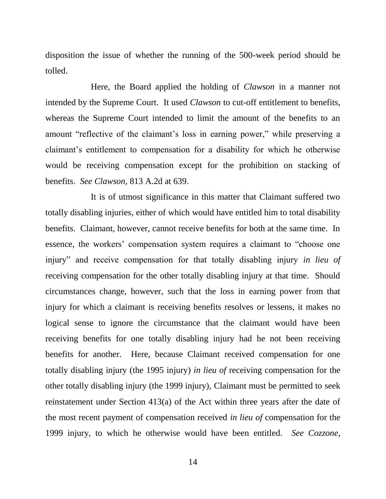disposition the issue of whether the running of the 500-week period should be tolled.

Here, the Board applied the holding of *Clawson* in a manner not intended by the Supreme Court. It used *Clawson* to cut-off entitlement to benefits, whereas the Supreme Court intended to limit the amount of the benefits to an amount "reflective of the claimant's loss in earning power," while preserving a claimant's entitlement to compensation for a disability for which he otherwise would be receiving compensation except for the prohibition on stacking of benefits. *See Clawson*, 813 A.2d at 639.

It is of utmost significance in this matter that Claimant suffered two totally disabling injuries, either of which would have entitled him to total disability benefits. Claimant, however, cannot receive benefits for both at the same time. In essence, the workers' compensation system requires a claimant to "choose one injury" and receive compensation for that totally disabling injury *in lieu of* receiving compensation for the other totally disabling injury at that time. Should circumstances change, however, such that the loss in earning power from that injury for which a claimant is receiving benefits resolves or lessens, it makes no logical sense to ignore the circumstance that the claimant would have been receiving benefits for one totally disabling injury had he not been receiving benefits for another. Here, because Claimant received compensation for one totally disabling injury (the 1995 injury) *in lieu of* receiving compensation for the other totally disabling injury (the 1999 injury), Claimant must be permitted to seek reinstatement under Section 413(a) of the Act within three years after the date of the most recent payment of compensation received *in lieu of* compensation for the 1999 injury, to which he otherwise would have been entitled. *See Cozzone*,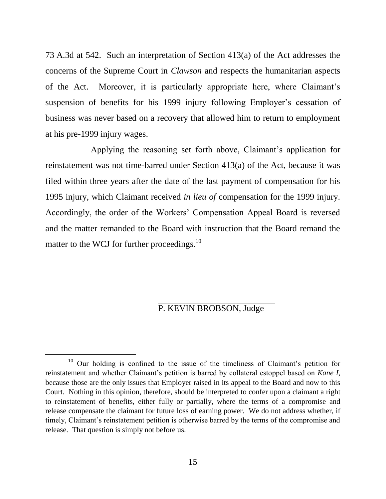73 A.3d at 542. Such an interpretation of Section 413(a) of the Act addresses the concerns of the Supreme Court in *Clawson* and respects the humanitarian aspects of the Act. Moreover, it is particularly appropriate here, where Claimant's suspension of benefits for his 1999 injury following Employer's cessation of business was never based on a recovery that allowed him to return to employment at his pre-1999 injury wages.

Applying the reasoning set forth above, Claimant's application for reinstatement was not time-barred under Section 413(a) of the Act, because it was filed within three years after the date of the last payment of compensation for his 1995 injury, which Claimant received *in lieu of* compensation for the 1999 injury. Accordingly, the order of the Workers' Compensation Appeal Board is reversed and the matter remanded to the Board with instruction that the Board remand the matter to the WCJ for further proceedings.<sup>10</sup>

## P. KEVIN BROBSON, Judge

<sup>&</sup>lt;sup>10</sup> Our holding is confined to the issue of the timeliness of Claimant's petition for reinstatement and whether Claimant's petition is barred by collateral estoppel based on *Kane I*, because those are the only issues that Employer raised in its appeal to the Board and now to this Court. Nothing in this opinion, therefore, should be interpreted to confer upon a claimant a right to reinstatement of benefits, either fully or partially, where the terms of a compromise and release compensate the claimant for future loss of earning power. We do not address whether, if timely, Claimant's reinstatement petition is otherwise barred by the terms of the compromise and release. That question is simply not before us.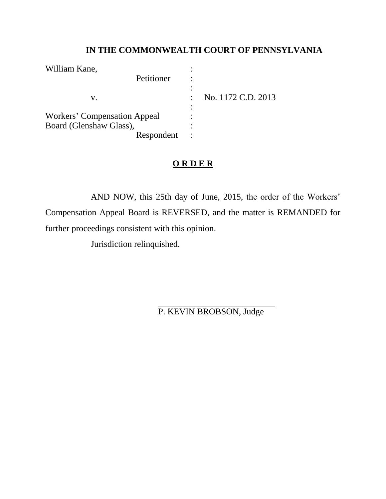# **IN THE COMMONWEALTH COURT OF PENNSYLVANIA**

| William Kane,                       |                    |
|-------------------------------------|--------------------|
| Petitioner                          |                    |
| V.                                  | No. 1172 C.D. 2013 |
| <b>Workers' Compensation Appeal</b> |                    |
| Board (Glenshaw Glass),             |                    |
| Respondent                          |                    |

# **O R D E R**

AND NOW, this 25th day of June, 2015, the order of the Workers' Compensation Appeal Board is REVERSED, and the matter is REMANDED for further proceedings consistent with this opinion.

Jurisdiction relinquished.

P. KEVIN BROBSON, Judge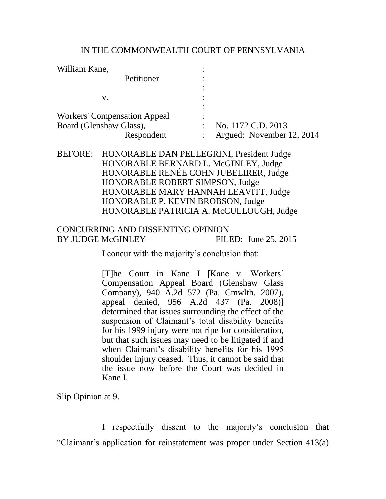#### IN THE COMMONWEALTH COURT OF PENNSYLVANIA

| William Kane,                       | ٠                         |
|-------------------------------------|---------------------------|
| Petitioner                          |                           |
|                                     |                           |
| v.                                  | ٠                         |
| <b>Workers' Compensation Appeal</b> | ٠<br>٠                    |
| Board (Glenshaw Glass),             | No. 1172 C.D. 2013<br>٠   |
| Respondent                          | Argued: November 12, 2014 |
|                                     |                           |

## BEFORE: HONORABLE DAN PELLEGRINI, President Judge HONORABLE BERNARD L. McGINLEY, Judge HONORABLE RENÉE COHN JUBELIRER, Judge HONORABLE ROBERT SIMPSON, Judge HONORABLE MARY HANNAH LEAVITT, Judge HONORABLE P. KEVIN BROBSON, Judge HONORABLE PATRICIA A. McCULLOUGH, Judge

## CONCURRING AND DISSENTING OPINION BY JUDGE McGINLEY FILED: June 25, 2015

I concur with the majority's conclusion that:

[T]he Court in Kane I [Kane v. Workers' Compensation Appeal Board (Glenshaw Glass Company), 940 A.2d 572 (Pa. Cmwlth. 2007), appeal denied, 956 A.2d 437 (Pa. 2008)] determined that issues surrounding the effect of the suspension of Claimant's total disability benefits for his 1999 injury were not ripe for consideration, but that such issues may need to be litigated if and when Claimant's disability benefits for his 1995 shoulder injury ceased. Thus, it cannot be said that the issue now before the Court was decided in Kane I.

Slip Opinion at 9.

I respectfully dissent to the majority's conclusion that "Claimant's application for reinstatement was proper under Section 413(a)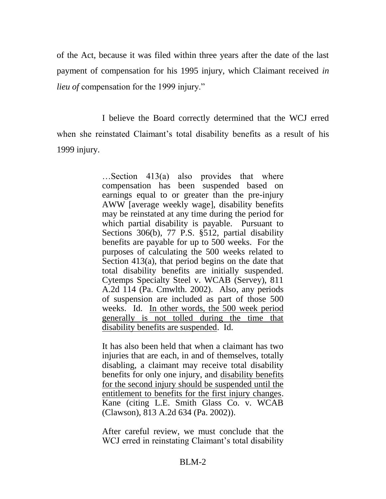of the Act, because it was filed within three years after the date of the last payment of compensation for his 1995 injury, which Claimant received *in lieu of* compensation for the 1999 injury."

I believe the Board correctly determined that the WCJ erred when she reinstated Claimant's total disability benefits as a result of his 1999 injury.

> …Section 413(a) also provides that where compensation has been suspended based on earnings equal to or greater than the pre-injury AWW [average weekly wage], disability benefits may be reinstated at any time during the period for which partial disability is payable. Pursuant to Sections 306(b), 77 P.S. §512, partial disability benefits are payable for up to 500 weeks. For the purposes of calculating the 500 weeks related to Section 413(a), that period begins on the date that total disability benefits are initially suspended. Cytemps Specialty Steel v. WCAB (Servey), 811 A.2d 114 (Pa. Cmwlth. 2002). Also, any periods of suspension are included as part of those 500 weeks. Id. In other words, the 500 week period generally is not tolled during the time that disability benefits are suspended. Id.

> It has also been held that when a claimant has two injuries that are each, in and of themselves, totally disabling, a claimant may receive total disability benefits for only one injury, and disability benefits for the second injury should be suspended until the entitlement to benefits for the first injury changes. Kane (citing L.E. Smith Glass Co. v. WCAB (Clawson), 813 A.2d 634 (Pa. 2002)).

> After careful review, we must conclude that the WCJ erred in reinstating Claimant's total disability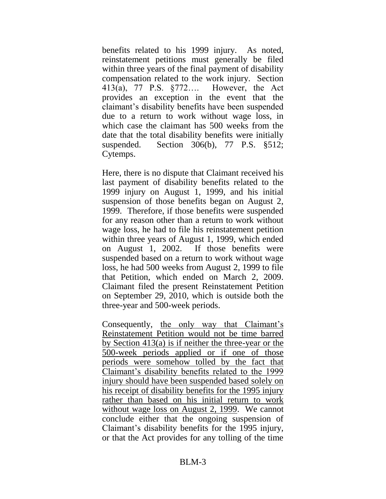benefits related to his 1999 injury. As noted, reinstatement petitions must generally be filed within three years of the final payment of disability compensation related to the work injury. Section 413(a), 77 P.S. §772…. However, the Act provides an exception in the event that the claimant's disability benefits have been suspended due to a return to work without wage loss, in which case the claimant has 500 weeks from the date that the total disability benefits were initially suspended. Section 306(b), 77 P.S. §512; Cytemps.

Here, there is no dispute that Claimant received his last payment of disability benefits related to the 1999 injury on August 1, 1999, and his initial suspension of those benefits began on August 2, 1999. Therefore, if those benefits were suspended for any reason other than a return to work without wage loss, he had to file his reinstatement petition within three years of August 1, 1999, which ended on August 1, 2002. If those benefits were suspended based on a return to work without wage loss, he had 500 weeks from August 2, 1999 to file that Petition, which ended on March 2, 2009. Claimant filed the present Reinstatement Petition on September 29, 2010, which is outside both the three-year and 500-week periods.

Consequently, the only way that Claimant's Reinstatement Petition would not be time barred by Section 413(a) is if neither the three-year or the 500-week periods applied or if one of those periods were somehow tolled by the fact that Claimant's disability benefits related to the 1999 injury should have been suspended based solely on his receipt of disability benefits for the 1995 injury rather than based on his initial return to work without wage loss on August 2, 1999. We cannot conclude either that the ongoing suspension of Claimant's disability benefits for the 1995 injury, or that the Act provides for any tolling of the time